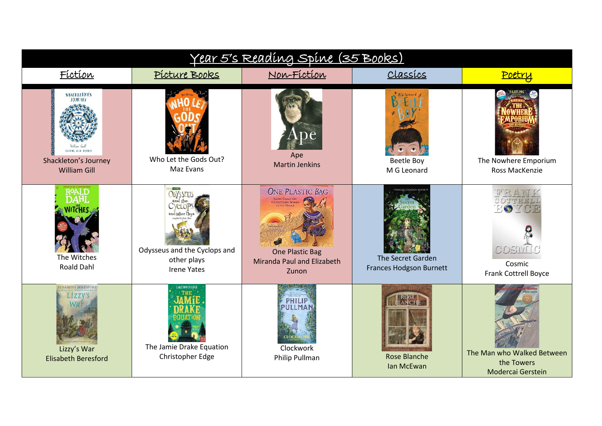| <u>Year 5's Reading Spine (35 Books)</u>                                                                        |                                                                                                                                        |                                                                                                                                                |                                                                            |                                                                                          |  |  |
|-----------------------------------------------------------------------------------------------------------------|----------------------------------------------------------------------------------------------------------------------------------------|------------------------------------------------------------------------------------------------------------------------------------------------|----------------------------------------------------------------------------|------------------------------------------------------------------------------------------|--|--|
| Fíctíon                                                                                                         | Picture Books                                                                                                                          | Non-Fiction                                                                                                                                    | CLassics                                                                   | Poetry                                                                                   |  |  |
| <b>SHACKLETON'S</b><br><b>JOURNEY</b><br><b>FLYING EYE BOOKS</b><br>Shackleton's Journey<br><b>William Gill</b> | Who Let the Gods Out?<br>Maz Evans                                                                                                     | Ape<br><b>Martin Jenkins</b>                                                                                                                   | <sup>8</sup> M.G Leonard<br>Beetle Boy<br>M G Leonard                      | The Nowhere Emporium<br>Ross MacKenzie                                                   |  |  |
| The Witches<br><b>Roald Dahl</b>                                                                                | gy Mortel (B)<br><b>ODYSSELLS</b><br>$VCl$ $OT$<br>and Other Plas<br>Odysseus and the Cyclops and<br>other plays<br><b>Irene Yates</b> | <b>ONE PLASTIC BAG</b><br>ISATOU CEESAY AND THE RECYCLING WOMEN OF THE GAMBIA<br><b>One Plastic Bag</b><br>Miranda Paul and Elizabeth<br>Zunon | ANCES HODGSON BURNE<br>The Secret Garden<br><b>Frances Hodgson Burnett</b> | $C_1$ $C_1$ $L_1$ $L_1$ $L_2$ $L_1$ .<br>RO<br>COSTVET<br>Cosmic<br>Frank Cottrell Boyce |  |  |
| <b>ELISABETH BERESFORD</b><br>Lizzy's War<br><b>Elisabeth Beresford</b>                                         | <b>CHAISTOPHER EDGE</b><br>The Jamie Drake Equation<br>Christopher Edge                                                                | <b>PHILIP</b><br>PULLMAN<br><b>Clockwork</b><br>Philip Pullman                                                                                 | <b>Rose Blanche</b><br>Ian McEwan                                          | The Man who Walked Between<br>the Towers<br>Modercai Gerstein                            |  |  |